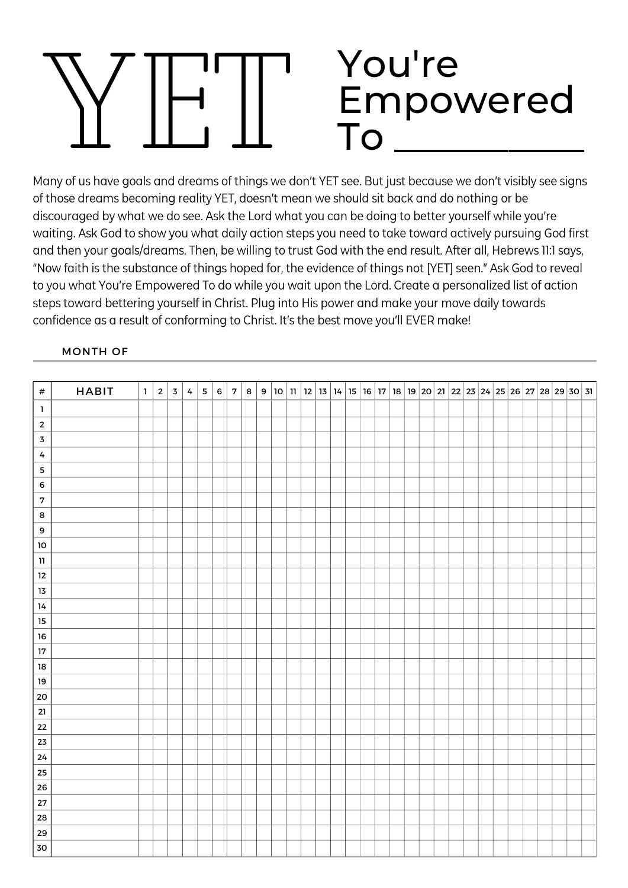## YET You're Empowered  $ToT$

Many of us have goals and dreams of things we don't YET see. But just because we don't visibly see signs of those dreams becoming reality YET, doesn't mean we should sit back and do nothing or be discouraged by what we do see. Ask the Lord what you can be doing to better yourself while you're waiting. Ask God to show you what daily action steps you need to take toward actively pursuing God first and then your goals/dreams. Then, be willing to trust God with the end result. After all, Hebrews 11:1 says, "Now faith is the substance of things hoped for, the evidence of things not [YET] seen." Ask God to reveal to you what You're Empowered To do while you wait upon the Lord. Create a personalized list of action steps toward bettering yourself in Christ. Plug into His power and make your move daily towards confidence as a result of conforming to Christ. It's the best move you'll EVER make!

## MONTH OF

| $\#$             | <b>HABIT</b> | $\overline{1}$ | $\overline{2}$ | $\overline{\mathbf{3}}$ | $\pmb{4}$ | ${\bf 5}$ | $\,$ 6 | $\overline{7}$ | $\bf8$ |  |  |  |  |  |  |  |  |  |  | 9   10   11   12   13   14   15   16   17   18   19   20   21   22   23   24   25   26   27   28   29   30   31 |  |
|------------------|--------------|----------------|----------------|-------------------------|-----------|-----------|--------|----------------|--------|--|--|--|--|--|--|--|--|--|--|-----------------------------------------------------------------------------------------------------------------|--|
| $\mathbf 1$      |              |                |                |                         |           |           |        |                |        |  |  |  |  |  |  |  |  |  |  |                                                                                                                 |  |
| $\overline{2}$   |              |                |                |                         |           |           |        |                |        |  |  |  |  |  |  |  |  |  |  |                                                                                                                 |  |
| $\mathbf 3$      |              |                |                |                         |           |           |        |                |        |  |  |  |  |  |  |  |  |  |  |                                                                                                                 |  |
| $\pmb{4}$        |              |                |                |                         |           |           |        |                |        |  |  |  |  |  |  |  |  |  |  |                                                                                                                 |  |
| ${\bf 5}$        |              |                |                |                         |           |           |        |                |        |  |  |  |  |  |  |  |  |  |  |                                                                                                                 |  |
| $\mathbf 6$      |              |                |                |                         |           |           |        |                |        |  |  |  |  |  |  |  |  |  |  |                                                                                                                 |  |
| $\mathbf{7}$     |              |                |                |                         |           |           |        |                |        |  |  |  |  |  |  |  |  |  |  |                                                                                                                 |  |
| $\bf8$           |              |                |                |                         |           |           |        |                |        |  |  |  |  |  |  |  |  |  |  |                                                                                                                 |  |
| $\boldsymbol{9}$ |              |                |                |                         |           |           |        |                |        |  |  |  |  |  |  |  |  |  |  |                                                                                                                 |  |
| 10               |              |                |                |                         |           |           |        |                |        |  |  |  |  |  |  |  |  |  |  |                                                                                                                 |  |
| ${\bf 11}$       |              |                |                |                         |           |           |        |                |        |  |  |  |  |  |  |  |  |  |  |                                                                                                                 |  |
| $12\,$           |              |                |                |                         |           |           |        |                |        |  |  |  |  |  |  |  |  |  |  |                                                                                                                 |  |
| $1\overline{3}$  |              |                |                |                         |           |           |        |                |        |  |  |  |  |  |  |  |  |  |  |                                                                                                                 |  |
| 14               |              |                |                |                         |           |           |        |                |        |  |  |  |  |  |  |  |  |  |  |                                                                                                                 |  |
| $15\,$           |              |                |                |                         |           |           |        |                |        |  |  |  |  |  |  |  |  |  |  |                                                                                                                 |  |
| ${\bf 16}$       |              |                |                |                         |           |           |        |                |        |  |  |  |  |  |  |  |  |  |  |                                                                                                                 |  |
| $17\,$           |              |                |                |                         |           |           |        |                |        |  |  |  |  |  |  |  |  |  |  |                                                                                                                 |  |
| ${\bf 18}$       |              |                |                |                         |           |           |        |                |        |  |  |  |  |  |  |  |  |  |  |                                                                                                                 |  |
| $19\,$           |              |                |                |                         |           |           |        |                |        |  |  |  |  |  |  |  |  |  |  |                                                                                                                 |  |
| 20               |              |                |                |                         |           |           |        |                |        |  |  |  |  |  |  |  |  |  |  |                                                                                                                 |  |
| ${\bf 21}$       |              |                |                |                         |           |           |        |                |        |  |  |  |  |  |  |  |  |  |  |                                                                                                                 |  |
| 22               |              |                |                |                         |           |           |        |                |        |  |  |  |  |  |  |  |  |  |  |                                                                                                                 |  |
| 23               |              |                |                |                         |           |           |        |                |        |  |  |  |  |  |  |  |  |  |  |                                                                                                                 |  |
| 24               |              |                |                |                         |           |           |        |                |        |  |  |  |  |  |  |  |  |  |  |                                                                                                                 |  |
| 25               |              |                |                |                         |           |           |        |                |        |  |  |  |  |  |  |  |  |  |  |                                                                                                                 |  |
| 26               |              |                |                |                         |           |           |        |                |        |  |  |  |  |  |  |  |  |  |  |                                                                                                                 |  |
| 27               |              |                |                |                         |           |           |        |                |        |  |  |  |  |  |  |  |  |  |  |                                                                                                                 |  |
| 28               |              |                |                |                         |           |           |        |                |        |  |  |  |  |  |  |  |  |  |  |                                                                                                                 |  |
| 29               |              |                |                |                         |           |           |        |                |        |  |  |  |  |  |  |  |  |  |  |                                                                                                                 |  |
| ${\bf 30}$       |              |                |                |                         |           |           |        |                |        |  |  |  |  |  |  |  |  |  |  |                                                                                                                 |  |